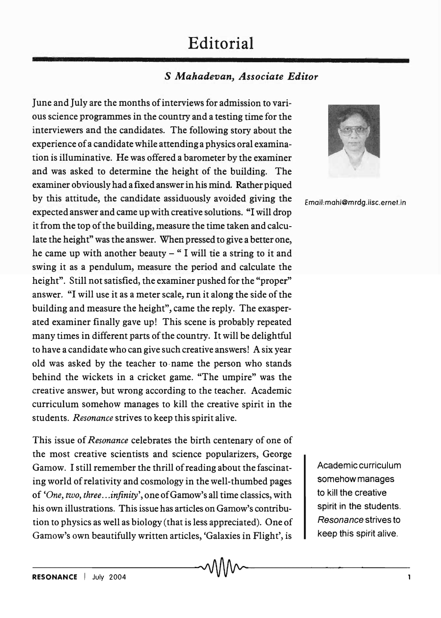## **Editorial**

## S *Mahadevan, Associate Editor*

June and July are the months of interviews for admission to various science programmes in the country and a testing time for the interviewers and the candidates. The following story about the experience of a candidate while attending a physics oral examination is illuminative. He was offered a barometer by the examiner and was asked to determine the height of the building. The examiner obviously had a fixed answer in his mind. Rather piqued by this attitude, the candidate assiduously avoided giving the expected answer and came up with creative solutions. "I will drop it from the top of the building, measure the time taken and calculate the height" was the answer. When pressed to give a better one, he came up with another beauty  $-$  " I will tie a string to it and swing it as a pendulum, measure the period and calculate the height". Still not satisfied, the examiner pushed for the "proper" answer. "I will use it as a meter scale, run it along the side of the building and measure the height", came the reply. The exasperated examiner finally gave up! This scene is probably repeated many times in different parts of the country. It will be delightful to have a candidate who can give such creative answers! A six year old was asked by the teacher to· name the person who stands behind the wickets in a cricket game. "The umpire" was the creative answer, but wrong according to the teacher. Academic curriculum somehow manages to kill the creative spirit in the students. *Resonance* strives to keep this spirit alive.

This issue of *Resonance* celebrates the birth centenary of one of the most creative scientists and science popularizers, George Gamow. I still remember the thrill of reading about the fascinating world of relativity and cosmology in the well-thumbed pages of *'One, two, three .*.. *infinity',* one of Gamow's all time classics, with his own illustrations. This issue has articles on Gamow's contribution to physics as well as biology (that is less appreciated). One of Gamow's own beautifully written articles, 'Galaxies in Flight', is



Email:mahi@mrdg.iisc.ernet.in

Academic curriculum somehow manages to kill the creative spirit in the students. Resonance strives to keep this spirit alive.